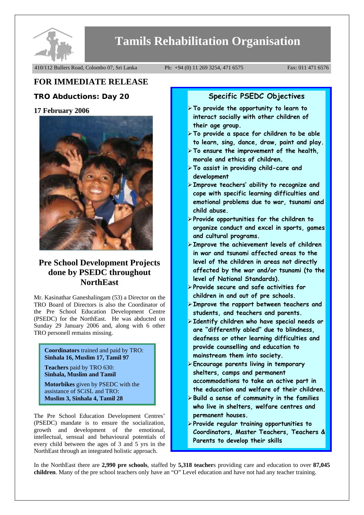

# **Tamils Rehabilitation Organisation**

410/112 Bullers Road, Colombo 07, Sri Lanka Ph: +94 (0) 11 269 3254, 471 6575 Fax: 011 471 6576

# **FOR IMMEDIATE RELEASE**

## **TRO Abductions: Day 20**

### **17 February 2006**



## **Pre School Development Projects done by PSEDC throughout NorthEast**

Mr. Kasinathar Ganeshalingam (53) a Director on the TRO Board of Directors is also the Coordinator of the Pre School Education Development Centre (PSEDC) for the NorthEast. He was abducted on Sunday 29 January 2006 and, along with 6 other TRO personell remains missing.

**Coordinators** trained and paid by TRO: **Sinhala 16, Muslim 17, Tamil 97** 

**Teachers** paid by TRO 630: **Sinhala, Muslim and Tamil** 

**Motorbikes** given by PSEDC with the assistance of SCiSL and TRO: **Muslim 3, Sinhala 4, Tamil 28** 

The Pre School Education Development Centres' (PSEDC) mandate is to ensure the socialization, growth and development of the emotional, intellectual, sensual and behavioural potentials of every child between the ages of 3 and 5 yrs in the NorthEast through an integrated holistic approach.

## **Specific PSEDC Objectives**

- ¾**To provide the opportunity to learn to interact socially with other children of their age group.**
- ¾**To provide a space for children to be able to learn, sing, dance, draw, paint and play.**
- ¾**To ensure the improvement of the health, morale and ethics of children.**
- ¾**To assist in providing child-care and development**
- ¾**Improve teachers' ability to recognize and cope with specific learning difficulties and emotional problems due to war, tsunami and child abuse.**
- ¾**Provide opportunities for the children to organize conduct and excel in sports, games and cultural programs.**
- ¾**Improve the achievement levels of children in war and tsunami affected areas to the level of the children in areas not directly affected by the war and/or tsunami (to the level of National Standards).**
- ¾**Provide secure and safe activities for children in and out of pre schools.**
- ¾**Improve the rapport between teachers and students, and teachers and parents.**
- ¾**Identify children who have special needs or are "differently abled" due to blindness, deafness or other learning difficulties and provide counselling and education to mainstream them into society.**
- ¾**Encourage parents living in temporary shelters, camps and permanent accommodations to take an active part in the education and welfare of their children.**
- ¾**Build a sense of community in the families who live in shelters, welfare centres and permanent houses.**
- ¾**Provide regular training opportunities to Coordinators, Master Teachers, Teachers & Parents to develop their skills**

In the NorthEast there are **2,990 pre schools**, staffed by **5,318 teacher**s providing care and education to over **87,045 children**. Many of the pre school teachers only have an "O" Level education and have not had any teacher training.